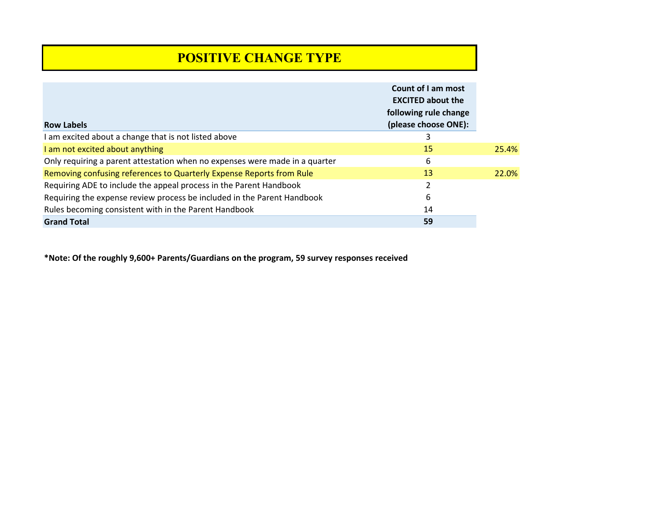# **POSITIVE CHANGE TYPE**

| <b>Row Labels</b>                                                           | Count of I am most<br><b>EXCITED about the</b><br>following rule change<br>(please choose ONE): |       |
|-----------------------------------------------------------------------------|-------------------------------------------------------------------------------------------------|-------|
| I am excited about a change that is not listed above                        | 3                                                                                               |       |
| I am not excited about anything                                             | 15                                                                                              | 25.4% |
| Only requiring a parent attestation when no expenses were made in a quarter | 6                                                                                               |       |
| Removing confusing references to Quarterly Expense Reports from Rule        | 13                                                                                              | 22.0% |
| Requiring ADE to include the appeal process in the Parent Handbook          | 2                                                                                               |       |
| Requiring the expense review process be included in the Parent Handbook     | 6                                                                                               |       |
| Rules becoming consistent with in the Parent Handbook                       | 14                                                                                              |       |
| <b>Grand Total</b>                                                          | 59                                                                                              |       |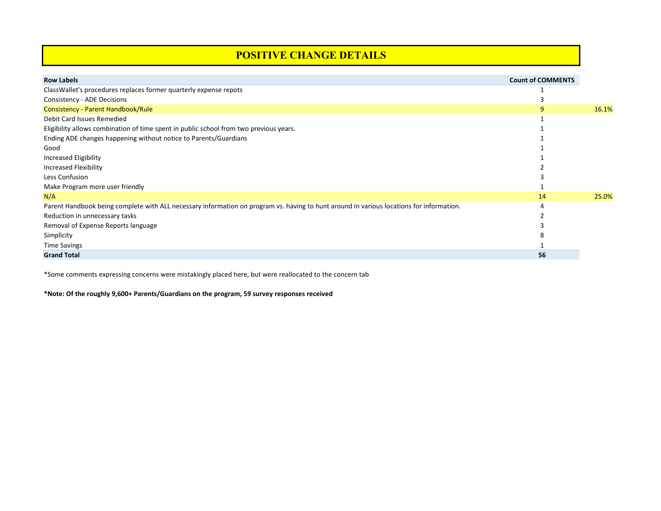### **POSITIVE CHANGE DETAILS**

| <b>Row Labels</b>                                                                                                                        | <b>Count of COMMENTS</b> |       |
|------------------------------------------------------------------------------------------------------------------------------------------|--------------------------|-------|
| ClassWallet's procedures replaces former quarterly expense repots                                                                        |                          |       |
| Consistency - ADE Decisions                                                                                                              |                          |       |
| Consistency - Parent Handbook/Rule                                                                                                       |                          | 16.1% |
| Debit Card Issues Remedied                                                                                                               |                          |       |
| Eligibility allows combination of time spent in public school from two previous years.                                                   |                          |       |
| Ending ADE changes happening without notice to Parents/Guardians                                                                         |                          |       |
| Good                                                                                                                                     |                          |       |
| Increased Eligibility                                                                                                                    |                          |       |
| Increased Flexibility                                                                                                                    |                          |       |
| Less Confusion                                                                                                                           |                          |       |
| Make Program more user friendly                                                                                                          |                          |       |
| N/A                                                                                                                                      | 14                       | 25.0% |
| Parent Handbook being complete with ALL necessary information on program vs. having to hunt around in various locations for information. |                          |       |
| Reduction in unnecessary tasks                                                                                                           |                          |       |
| Removal of Expense Reports language                                                                                                      |                          |       |
| Simplicity                                                                                                                               |                          |       |
| <b>Time Savings</b>                                                                                                                      |                          |       |
| <b>Grand Total</b>                                                                                                                       | 56                       |       |

\*Some comments expressing concerns were mistakingly placed here, but were reallocated to the concern tab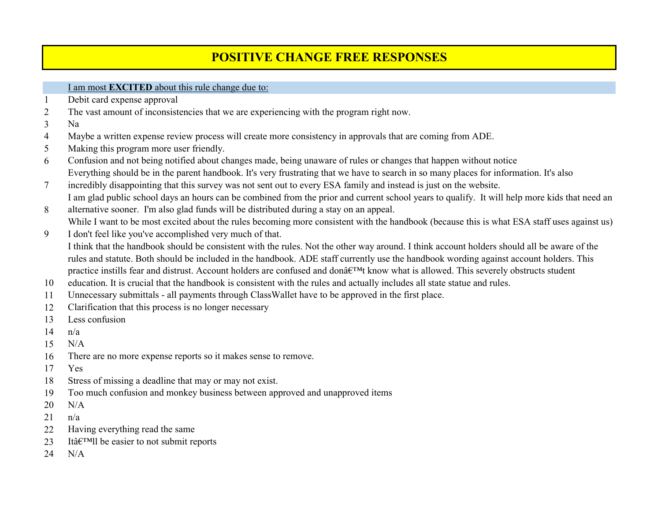# **POSITIVE CHANGE FREE RESPONSES**

### I am most **EXCITED** about this rule change due to:

- Debit card expense approval
- The vast amount of inconsistencies that we are experiencing with the program right now.
- Na
- Maybe a written expense review process will create more consistency in approvals that are coming from ADE.
- Making this program more user friendly.
- Confusion and not being notified about changes made, being unaware of rules or changes that happen without notice Everything should be in the parent handbook. It's very frustrating that we have to search in so many places for information. It's also
- incredibly disappointing that this survey was not sent out to every ESA family and instead is just on the website. I am glad public school days an hours can be combined from the prior and current school years to qualify. It will help more kids that need an
- alternative sooner. I'm also glad funds will be distributed during a stay on an appeal. While I want to be most excited about the rules becoming more consistent with the handbook (because this is what ESA staff uses against us)
- I don't feel like you've accomplished very much of that. I think that the handbook should be consistent with the rules. Not the other way around. I think account holders should all be aware of the rules and statute. Both should be included in the handbook. ADE staff currently use the handbook wording against account holders. This practice instills fear and distrust. Account holders are confused and don't know what is allowed. This severely obstructs student
- education. It is crucial that the handbook is consistent with the rules and actually includes all state statue and rules.
- Unnecessary submittals all payments through ClassWallet have to be approved in the first place.
- Clarification that this process is no longer necessary
- Less confusion
- $n/a$
- N/A
- There are no more expense reports so it makes sense to remove.
- Yes
- Stress of missing a deadline that may or may not exist.
- Too much confusion and monkey business between approved and unapproved items
- N/A
- n/a
- Having everything read the same
- 23 Itâ $\epsilon$ <sup>TM</sup>ll be easier to not submit reports
- N/A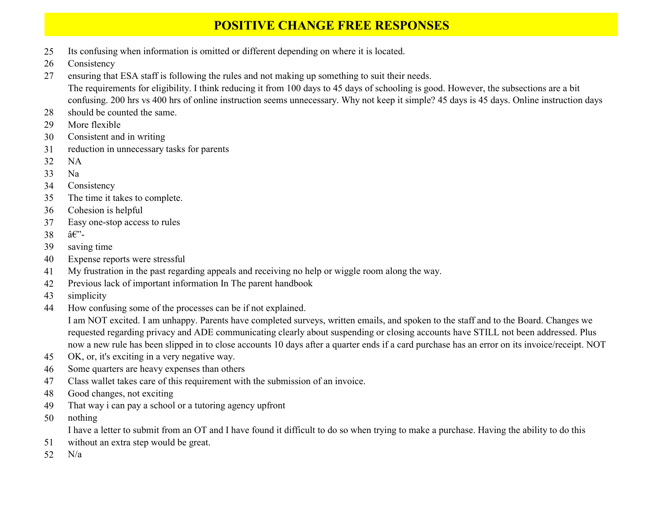## **POSITIVE CHANGE FREE RESPONSES**

- Its confusing when information is omitted or different depending on where it is located.
- Consistency
- ensuring that ESA staff is following the rules and not making up something to suit their needs. The requirements for eligibility. I think reducing it from 100 days to 45 days of schooling is good. However, the subsections are a bit confusing. 200 hrs vs 400 hrs of online instruction seems unnecessary. Why not keep it simple? 45 days is 45 days. Online instruction days
- should be counted the same.
- More flexible
- Consistent and in writing
- reduction in unnecessary tasks for parents
- NA
- Na
- Consistency
- The time it takes to complete.
- Cohesion is helpful
- Easy one-stop access to rules
- 38  $\hat{a} \in \mathbb{C}^{\times}$
- saving time
- Expense reports were stressful
- My frustration in the past regarding appeals and receiving no help or wiggle room along the way.
- Previous lack of important information In The parent handbook
- simplicity
- How confusing some of the processes can be if not explained.

I am NOT excited. I am unhappy. Parents have completed surveys, written emails, and spoken to the staff and to the Board. Changes we requested regarding privacy and ADE communicating clearly about suspending or closing accounts have STILL not been addressed. Plus now a new rule has been slipped in to close accounts 10 days after a quarter ends if a card purchase has an error on its invoice/receipt. NOT

- OK, or, it's exciting in a very negative way.
- Some quarters are heavy expenses than others
- Class wallet takes care of this requirement with the submission of an invoice.
- Good changes, not exciting
- That way i can pay a school or a tutoring agency upfront
- nothing

I have a letter to submit from an OT and I have found it difficult to do so when trying to make a purchase. Having the ability to do this

- without an extra step would be great.
- N/a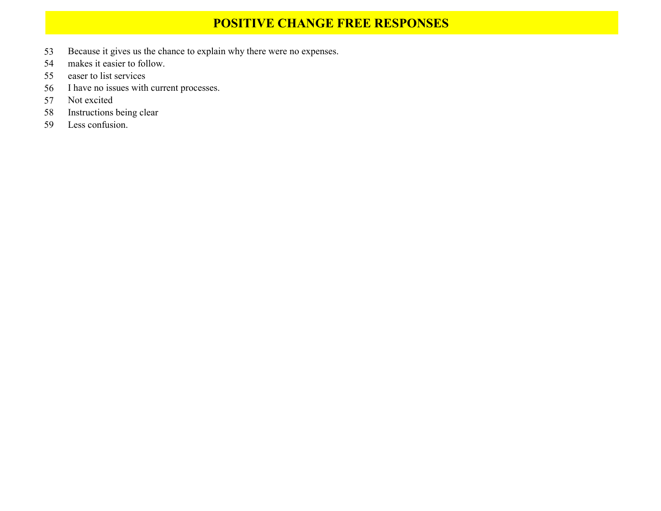## **POSITIVE CHANGE FREE RESPONSES**

- Because it gives us the chance to explain why there were no expenses.
- makes it easier to follow.
- easer to list services
- I have no issues with current processes.
- Not excited
- Instructions being clear
- Less confusion.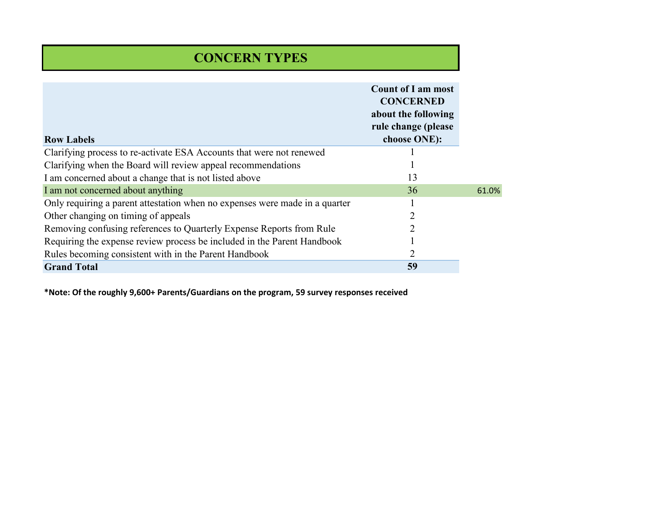# **CONCERN TYPES**

| <b>Row Labels</b>                                                           | <b>Count of I am most</b><br><b>CONCERNED</b><br>about the following<br>rule change (please<br>choose ONE): |       |
|-----------------------------------------------------------------------------|-------------------------------------------------------------------------------------------------------------|-------|
| Clarifying process to re-activate ESA Accounts that were not renewed        |                                                                                                             |       |
| Clarifying when the Board will review appeal recommendations                |                                                                                                             |       |
| I am concerned about a change that is not listed above                      | 13                                                                                                          |       |
| I am not concerned about anything                                           | 36                                                                                                          | 61.0% |
| Only requiring a parent attestation when no expenses were made in a quarter |                                                                                                             |       |
| Other changing on timing of appeals                                         | $\overline{2}$                                                                                              |       |
| Removing confusing references to Quarterly Expense Reports from Rule        | 2                                                                                                           |       |
| Requiring the expense review process be included in the Parent Handbook     |                                                                                                             |       |
| Rules becoming consistent with in the Parent Handbook                       | $\overline{2}$                                                                                              |       |
| <b>Grand Total</b>                                                          | 59                                                                                                          |       |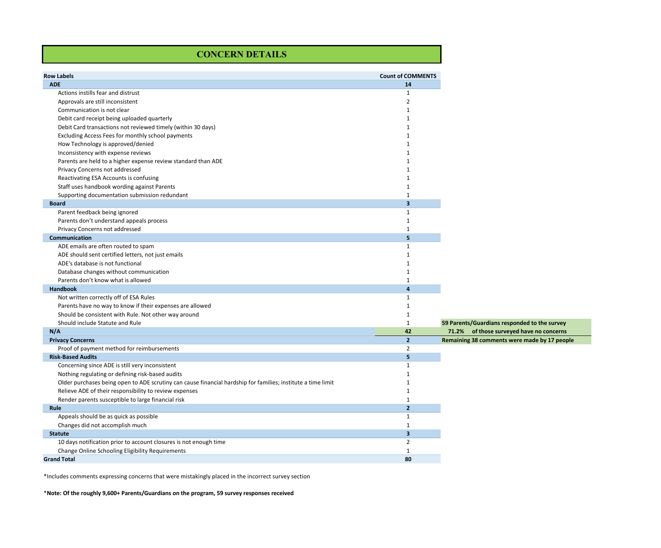### **CONCERN DETAILS**

| <b>Row Labels</b>                                                                                            | <b>Count of COMMENTS</b> |                                              |
|--------------------------------------------------------------------------------------------------------------|--------------------------|----------------------------------------------|
| <b>ADE</b>                                                                                                   | 14                       |                                              |
| Actions instills fear and distrust                                                                           | 1                        |                                              |
| Approvals are still inconsistent                                                                             | $\overline{2}$           |                                              |
| Communication is not clear                                                                                   | $\mathbf{1}$             |                                              |
| Debit card receipt being uploaded quarterly                                                                  | 1                        |                                              |
| Debit Card transactions not reviewed timely (within 30 days)                                                 | $\mathbf{1}$             |                                              |
| Excluding Access Fees for monthly school payments                                                            | $\mathbf{1}$             |                                              |
| How Technology is approved/denied                                                                            | $\mathbf{1}$             |                                              |
| Inconsistency with expense reviews                                                                           | 1                        |                                              |
| Parents are held to a higher expense review standard than ADE                                                | $\mathbf{1}$             |                                              |
| Privacy Concerns not addressed                                                                               | $\mathbf{1}$             |                                              |
| Reactivating ESA Accounts is confusing                                                                       | $\mathbf{1}$             |                                              |
| Staff uses handbook wording against Parents                                                                  | $\mathbf{1}$             |                                              |
| Supporting documentation submission redundant                                                                | $\mathbf{1}$             |                                              |
| <b>Board</b>                                                                                                 | $\overline{\mathbf{3}}$  |                                              |
| Parent feedback being ignored                                                                                | 1                        |                                              |
| Parents don't understand appeals process                                                                     | $1\,$                    |                                              |
| Privacy Concerns not addressed                                                                               | $1\,$                    |                                              |
| Communication                                                                                                | 5                        |                                              |
| ADE emails are often routed to spam                                                                          | 1                        |                                              |
| ADE should sent certified letters, not just emails                                                           | $1\,$                    |                                              |
| ADE's database is not functional                                                                             | $\mathbf{1}$             |                                              |
| Database changes without communication                                                                       | 1                        |                                              |
| Parents don't know what is allowed                                                                           | $\mathbf{1}$             |                                              |
| Handbook                                                                                                     | $\overline{4}$           |                                              |
| Not written correctly off of ESA Rules                                                                       | $\mathbf{1}$             |                                              |
| Parents have no way to know if their expenses are allowed                                                    | 1                        |                                              |
| Should be consistent with Rule. Not other way around                                                         | $\mathbf 1$              |                                              |
| Should include Statute and Rule                                                                              | $1\,$                    | 59 Parents/Guardians responded to the survey |
| N/A                                                                                                          | 42                       |                                              |
| <b>Privacy Concerns</b>                                                                                      | $\overline{2}$           | Remaining 38 comments were made by 17 people |
| Proof of payment method for reimbursements                                                                   | $\overline{2}$           |                                              |
| <b>Risk-Based Audits</b>                                                                                     | 5                        |                                              |
| Concerning since ADE is still very inconsistent                                                              | $\mathbf{1}$             |                                              |
| Nothing regulating or defining risk-based audits                                                             | 1                        |                                              |
| Older purchases being open to ADE scrutiny can cause financial hardship for families; institute a time limit | $\mathbf{1}$             |                                              |
| Relieve ADE of their responsibility to review expenses                                                       | $\mathbf{1}$             |                                              |
| Render parents susceptible to large financial risk                                                           | $\mathbf{1}$             |                                              |
| Rule                                                                                                         | $\overline{2}$           |                                              |
| Appeals should be as quick as possible                                                                       | $\mathbf{1}$             |                                              |
| Changes did not accomplish much                                                                              | $\mathbf 1$              |                                              |
| <b>Statute</b>                                                                                               | $\overline{\mathbf{3}}$  |                                              |
| 10 days notification prior to account closures is not enough time                                            | $\overline{2}$           |                                              |
| Change Online Schooling Eligibility Requirements                                                             | $\mathbf{1}$             |                                              |
| <b>Grand Total</b>                                                                                           | 80                       |                                              |

\*Includes comments expressing concerns that were mistakingly placed in the incorrect survey section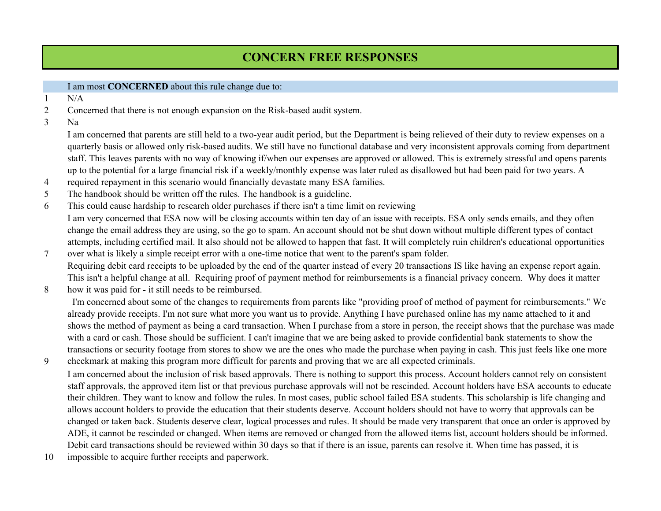## **CONCERN FREE RESPONSES**

### I am most **CONCERNED** about this rule change due to:

- 1 N/A
- 2 Concerned that there is not enough expansion on the Risk-based audit system.
- 3 Na

I am concerned that parents are still held to a two-year audit period, but the Department is being relieved of their duty to review expenses on a quarterly basis or allowed only risk-based audits. We still have no functional database and very inconsistent approvals coming from department staff. This leaves parents with no way of knowing if/when our expenses are approved or allowed. This is extremely stressful and opens parents up to the potential for a large financial risk if a weekly/monthly expense was later ruled as disallowed but had been paid for two years. A

- 4 required repayment in this scenario would financially devastate many ESA families.
- 5 The handbook should be written off the rules. The handbook is a guideline.
- 6 This could cause hardship to research older purchases if there isn't a time limit on reviewing I am very concerned that ESA now will be closing accounts within ten day of an issue with receipts. ESA only sends emails, and they often change the email address they are using, so the go to spam. An account should not be shut down without multiple different types of contact attempts, including certified mail. It also should not be allowed to happen that fast. It will completely ruin children's educational opportunities
- 7 over what is likely a simple receipt error with a one-time notice that went to the parent's spam folder. Requiring debit card receipts to be uploaded by the end of the quarter instead of every 20 transactions IS like having an expense report again. This isn't a helpful change at all. Requiring proof of payment method for reimbursements is a financial privacy concern. Why does it matter
- 8 how it was paid for - it still needs to be reimbursed.

 I'm concerned about some of the changes to requirements from parents like "providing proof of method of payment for reimbursements." We already provide receipts. I'm not sure what more you want us to provide. Anything I have purchased online has my name attached to it and shows the method of payment as being a card transaction. When I purchase from a store in person, the receipt shows that the purchase was made with a card or cash. Those should be sufficient. I can't imagine that we are being asked to provide confidential bank statements to show the transactions or security footage from stores to show we are the ones who made the purchase when paying in cash. This just feels like one more

- 9 checkmark at making this program more difficult for parents and proving that we are all expected criminals. I am concerned about the inclusion of risk based approvals. There is nothing to support this process. Account holders cannot rely on consistent staff approvals, the approved item list or that previous purchase approvals will not be rescinded. Account holders have ESA accounts to educate their children. They want to know and follow the rules. In most cases, public school failed ESA students. This scholarship is life changing and allows account holders to provide the education that their students deserve. Account holders should not have to worry that approvals can be changed or taken back. Students deserve clear, logical processes and rules. It should be made very transparent that once an order is approved by ADE, it cannot be rescinded or changed. When items are removed or changed from the allowed items list, account holders should be informed. Debit card transactions should be reviewed within 30 days so that if there is an issue, parents can resolve it. When time has passed, it is
- 10 impossible to acquire further receipts and paperwork.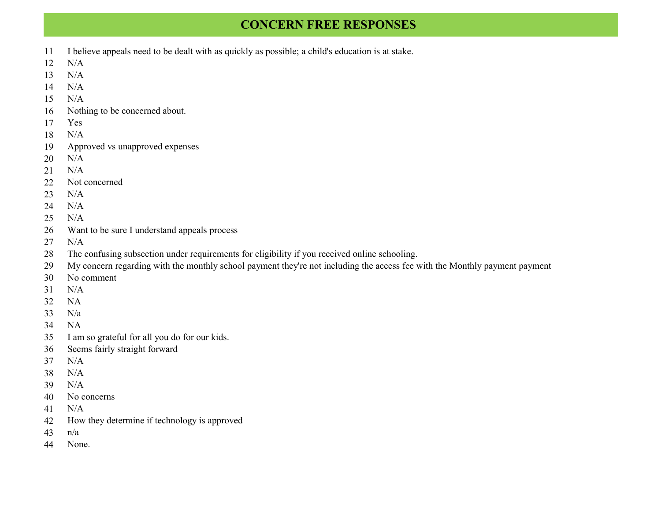## **CONCERN FREE RESPONSES**

- I believe appeals need to be dealt with as quickly as possible; a child's education is at stake.
- N/A
- N/A
- N/A
- N/A
- Nothing to be concerned about.
- Yes
- N/A
- Approved vs unapproved expenses
- N/A
- N/A
- Not concerned
- N/A
- N/A
- N/A
- Want to be sure I understand appeals process
- N/A
- The confusing subsection under requirements for eligibility if you received online schooling.
- My concern regarding with the monthly school payment they're not including the access fee with the Monthly payment payment
- No comment
- N/A
- NA
- N/a
- NA
- I am so grateful for all you do for our kids.
- Seems fairly straight forward
- N/A
- N/A
- N/A
- No concerns
- N/A
- How they determine if technology is approved
- n/a
- None.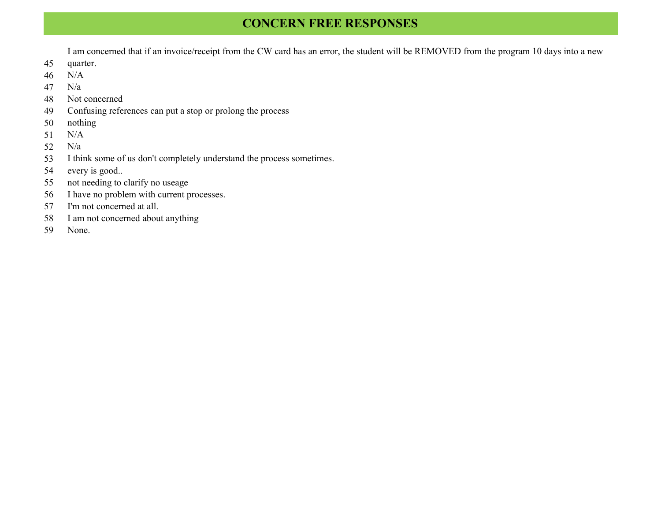## **CONCERN FREE RESPONSES**

I am concerned that if an invoice/receipt from the CW card has an error, the student will be REMOVED from the program 10 days into a new

- quarter.
- N/A
- N/a
- Not concerned
- Confusing references can put a stop or prolong the process
- nothing
- N/A
- N/a
- I think some of us don't completely understand the process sometimes.
- every is good..
- not needing to clarify no useage
- I have no problem with current processes.
- I'm not concerned at all.
- I am not concerned about anything
- None.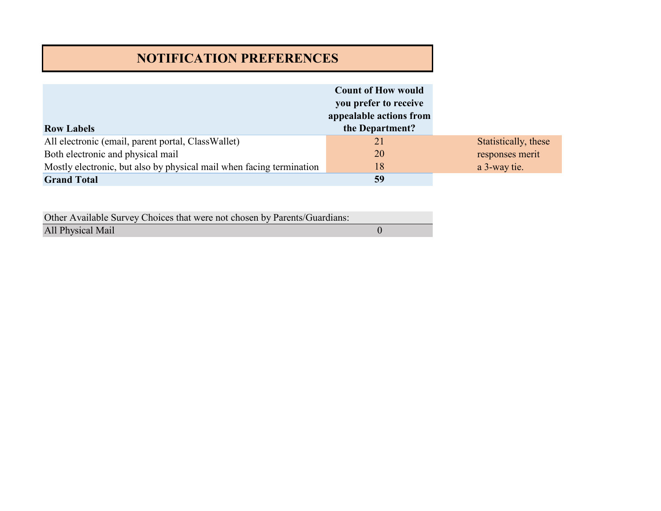# **NOTIFICATION PREFERENCES**

|                                                                      | <b>Count of How would</b> |                      |
|----------------------------------------------------------------------|---------------------------|----------------------|
|                                                                      | you prefer to receive     |                      |
|                                                                      | appealable actions from   |                      |
| <b>Row Labels</b>                                                    | the Department?           |                      |
| All electronic (email, parent portal, ClassWallet)                   | 21                        | Statistically, these |
| Both electronic and physical mail                                    | 20                        | responses merit      |
| Mostly electronic, but also by physical mail when facing termination | 18                        | a 3-way tie.         |
| <b>Grand Total</b>                                                   | 59                        |                      |

| Other Available Survey Choices that were not chosen by Parents/Guardians: |  |
|---------------------------------------------------------------------------|--|
| All Physical Mail                                                         |  |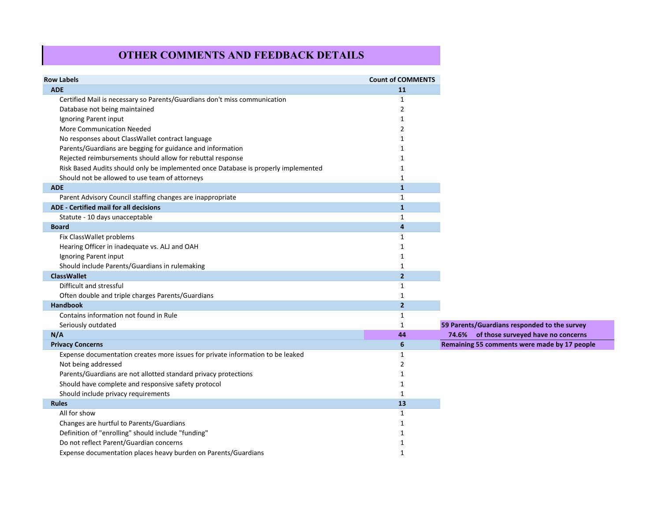### **OTHER COMMENTS AND FEEDBACK DETAILS**

| <b>Row Labels</b>                                                                  | <b>Count of COMMENTS</b> |
|------------------------------------------------------------------------------------|--------------------------|
| <b>ADE</b>                                                                         | <b>11</b>                |
| Certified Mail is necessary so Parents/Guardians don't miss communication          | 1                        |
| Database not being maintained                                                      | 2                        |
| Ignoring Parent input                                                              | 1                        |
| More Communication Needed                                                          | 2                        |
| No responses about ClassWallet contract language                                   |                          |
| Parents/Guardians are begging for guidance and information                         |                          |
| Rejected reimbursements should allow for rebuttal response                         |                          |
| Risk Based Audits should only be implemented once Database is properly implemented |                          |
| Should not be allowed to use team of attorneys                                     | 1                        |
| <b>ADE</b>                                                                         | $\mathbf{1}$             |
| Parent Advisory Council staffing changes are inappropriate                         | $\mathbf{1}$             |
| ADE - Certified mail for all decisions                                             | $\mathbf{1}$             |
| Statute - 10 days unacceptable                                                     | 1                        |
| <b>Board</b>                                                                       | $\overline{4}$           |
| Fix ClassWallet problems                                                           | 1                        |
| Hearing Officer in inadequate vs. ALJ and OAH                                      |                          |
| Ignoring Parent input                                                              |                          |
| Should include Parents/Guardians in rulemaking                                     | 1                        |
| <b>ClassWallet</b>                                                                 | $\overline{2}$           |
| Difficult and stressful                                                            | 1                        |
| Often double and triple charges Parents/Guardians                                  | 1                        |
| <b>Handbook</b>                                                                    | $\overline{2}$           |
| Contains information not found in Rule                                             | 1                        |
| Seriously outdated                                                                 | 1                        |
| N/A                                                                                | 44                       |
| <b>Privacy Concerns</b>                                                            | 6                        |
| Expense documentation creates more issues for private information to be leaked     | $\mathbf{1}$             |
| Not being addressed                                                                | 2                        |
| Parents/Guardians are not allotted standard privacy protections                    | 1                        |
| Should have complete and responsive safety protocol                                | 1                        |
| Should include privacy requirements                                                | 1                        |
| <b>Rules</b>                                                                       | 13                       |
| All for show                                                                       | 1                        |
| Changes are hurtful to Parents/Guardians                                           |                          |
| Definition of "enrolling" should include "funding"                                 |                          |
| Do not reflect Parent/Guardian concerns                                            | 1                        |
| Expense documentation places heavy burden on Parents/Guardians                     | 1                        |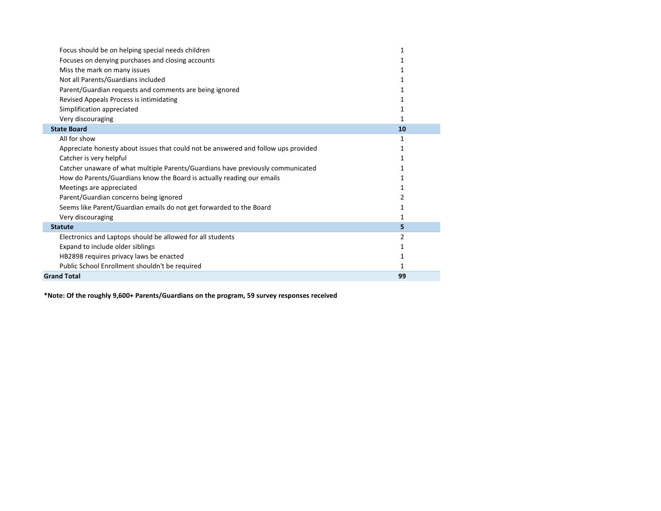| Focus should be on helping special needs children                                  |    |
|------------------------------------------------------------------------------------|----|
| Focuses on denying purchases and closing accounts                                  |    |
| Miss the mark on many issues                                                       |    |
| Not all Parents/Guardians included                                                 |    |
| Parent/Guardian requests and comments are being ignored                            |    |
| Revised Appeals Process is intimidating                                            |    |
| Simplification appreciated                                                         |    |
| Very discouraging                                                                  |    |
| <b>State Board</b>                                                                 | 10 |
| All for show                                                                       |    |
| Appreciate honesty about issues that could not be answered and follow ups provided |    |
| Catcher is very helpful                                                            |    |
| Catcher unaware of what multiple Parents/Guardians have previously communicated    |    |
| How do Parents/Guardians know the Board is actually reading our emails             |    |
| Meetings are appreciated                                                           |    |
| Parent/Guardian concerns being ignored                                             | 2  |
| Seems like Parent/Guardian emails do not get forwarded to the Board                |    |
| Very discouraging                                                                  |    |
| <b>Statute</b>                                                                     | 5  |
| Electronics and Laptops should be allowed for all students                         |    |
| Expand to include older siblings                                                   |    |
| HB2898 requires privacy laws be enacted                                            |    |
| Public School Enrollment shouldn't be required                                     |    |
| <b>Grand Total</b>                                                                 | 99 |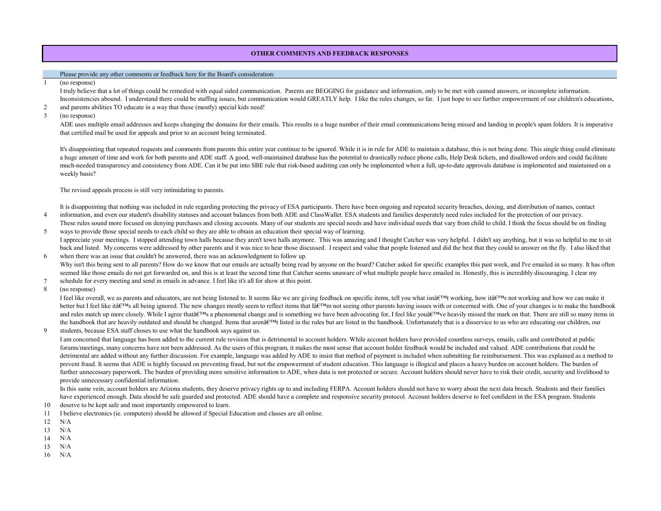#### **OTHER COMMENTS AND FEEDBACK RESPONSES**

#### Please provide any other comments or feedback here for the Board's consideration:

(no response)

I truly believe that a lot of things could be remedied with equal sided communication. Parents are BEGGING for guidance and information, only to be met with canned answers, or incomplete information. Inconsistencies abound. I understand there could be staffing issues, but communication would GREATLY help. I like the rules changes, so far. I just hope to see further empowerment of our children's educations,

- 2 and parents abilities TO educate in a way that these (mostly) special kids need!
- 3 (no response)

ADE uses multiple email addresses and keeps changing the domains for their emails. This results in a huge number of their email communications being missed and landing in people's spam folders. It is imperative that certified mail be used for appeals and prior to an account being terminated.

It's disappointing that repeated requests and comments from parents this entire year continue to be ignored. While it is in rule for ADE to maintain a database, this is not being done. This single thing could eliminate a huge amount of time and work for both parents and ADE staff. A good, well-maintained database has the potential to drastically reduce phone calls, Help Desk tickets, and disallowed orders and could facilitate much-needed transparency and consistency from ADE. Can it be put into SBE rule that risk-based auditing can only be implemented when a full, up-to-date approvals database is implemented and maintained on a weekly basis?

The revised appeals process is still very intimidating to parents.

It is disappointing that nothing was included in rule regarding protecting the privacy of ESA participants. There have been ongoing and repeated security breaches, doxing, and distribution of names, contact

- 4 information, and even our student's disability statuses and account balances from both ADE and ClassWallet. ESA students and families desperately need rules included for the protection of our privacy. These rules sound more focused on denying purchases and closing accounts. Many of our students are special needs and have individual needs that vary from child to child. I think the focus should be on finding
- 5 ways to provide those special needs to each child so they are able to obtain an education their special way of learning. I appreciate your meetings. I stopped attending town halls because they aren't town halls anymore. This was amazing and I thought Catcher was very helpful. I didn't say anything, but it was so helpful to me to sit back and listed. My concerns were addressed by other parents and it was nice to hear those discussed. I respect and value that people listened and did the best that they could to answer on the fly. I also liked that
- 6 when there was an issue that couldn't be answered, there was an acknowledgment to follow up. Why isn't this being sent to all parents? How do we know that our emails are actually being read by anyone on the board? Catcher asked for specific examples this past week, and I've emailed in so many. It has often seemed like those emails do not get forwarded on, and this is at least the second time that Catcher seems unaware of what multiple people have emailed in. Honestly, this is incredibly discouraging. I clear my
- 7 schedule for every meeting and send in emails in advance. I feel like it's all for show at this point.
- 8 (no response)

I feel like overall, we as parents and educators, are not being listened to. It seems like we are giving feedback on specific items, tell you what isnate indictively, how it at  $\mathbb{R}^m$  s not working and how we can make better but I feel like itâ $\epsilon^{\text{TM}}$ s all being ignored. The new changes mostly seem to reflect items that Iâ $\epsilon^{\text{TM}}$ m not seeing other parents having issues with or concerned with. One of your changes is to make the han and rules match up more closely. While I agree that a gree that  $\mathbb{R}^T$  a phenomenal change and is something we have been advocating for, I feel like you a  $\mathbb{R}^T$  we heavily missed the mark on that. There are still the handbook that are heavily outdated and should be changed. Items that arenât  $TM$  listed in the rules but are listed in the handbook. Unfortunately that is a disservice to us who are educating our children, our

9 students, because ESA staff choses to use what the handbook says against us.

I am concerned that language has been added to the current rule revision that is detrimental to account holders. While account holders have provided countless surveys, emails, calls and contributed at public forums/meetings, many concerns have not been addressed. As the users of this program, it makes the most sense that account holder feedback would be included and valued. ADE contributions that could be detrimental are added without any further discussion. For example, language was added by ADE to insist that method of payment is included when submitting for reimbursement. This was explained as a method to prevent fraud. It seems that ADE is highly focused on preventing fraud, but not the empowerment of student education. This language is illogical and places a heavy burden on account holders. The burden of further unnecessary paperwork. The burden of providing more sensitive information to ADE, when data is not protected or secure. Account holders should never have to risk their credit, security and livelihood to provide unnecessary confidential information.

In this same vein, account holders are Arizona students, they deserve privacy rights up to and including FERPA. Account holders should not have to worry about the next data breach. Students and their families have experienced enough. Data should be safe guarded and protected. ADE should have a complete and responsive security protocol. Account holders deserve to feel confident in the ESA program. Students

- 10 deserve to be kept safe and most importantly empowered to learn.
- 11 I believe electronics (ie. computers) should be allowed if Special Education and classes are all online.
- 12 N/A
- 13 N/A
- 14 N/A
- 15 N/A
- 16 N/A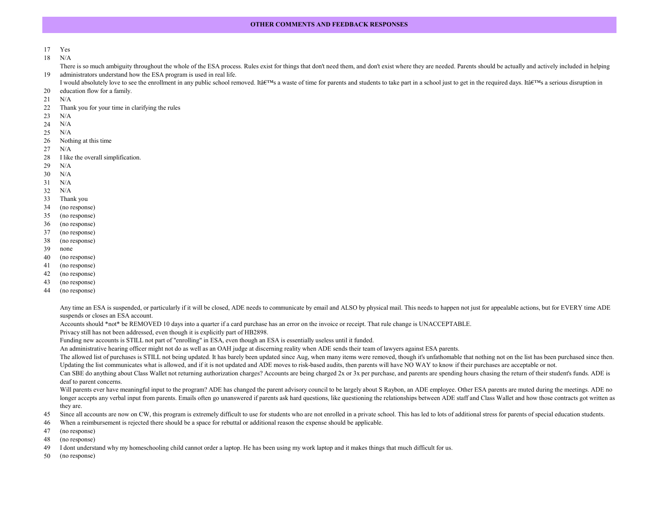#### **OTHER COMMENTS AND FEEDBACK RESPONSES**

- Yes
- N/A

There is so much ambiguity throughout the whole of the ESA process. Rules exist for things that don't need them, and don't exist where they are needed. Parents should be actually and actively included in helping administrators understand how the ESA program is used in real life.

I would absolutely love to see the enrollment in any public school removed. Ita  $\mathbb{R}^{TM}$ s a waste of time for parents and students to take part in a school just to get in the required days. Ita  $\mathbb{R}^{TM}$ s a serious di education flow for a family.

- 
- N/A
- Thank you for your time in clarifying the rules
- N/A
- N/A
- N/A
- Nothing at this time
- N/A
- I like the overall simplification.
- N/A
- N/A
- N/A
- N/A
- Thank you
- (no response)
- (no response)
- (no response)
- (no response)
- (no response)
- none
- (no response)
- (no response)
- (no response)
- (no response)
- (no response)

Any time an ESA is suspended, or particularly if it will be closed, ADE needs to communicate by email and ALSO by physical mail. This needs to happen not just for appealable actions, but for EVERY time ADE suspends or closes an ESA account.

Accounts should \*not\* be REMOVED 10 days into a quarter if a card purchase has an error on the invoice or receipt. That rule change is UNACCEPTABLE.

Privacy still has not been addressed, even though it is explicitly part of HB2898.

Funding new accounts is STILL not part of "enrolling" in ESA, even though an ESA is essentially useless until it funded.

An administrative hearing officer might not do as well as an OAH judge at discerning reality when ADE sends their team of lawyers against ESA parents.

The allowed list of purchases is STILL not being updated. It has barely been updated since Aug, when many items were removed, though it's unfathomable that nothing not on the list has been purchased since then. Updating the list communicates what is allowed, and if it is not updated and ADE moves to risk-based audits, then parents will have NO WAY to know if their purchases are acceptable or not.

Can SBE do anything about Class Wallet not returning authorization charges? Accounts are being charged 2x or 3x per purchase, and parents are spending hours chasing the return of their student's funds. ADE is deaf to parent concerns.

Will parents ever have meaningful input to the program? ADE has changed the parent advisory council to be largely about S Raybon, an ADE employee. Other ESA parents are muted during the meetings. ADE no longer accepts any verbal input from parents. Emails often go unanswered if parents ask hard questions, like questioning the relationships between ADE staff and Class Wallet and how those contracts got written as they are.

- Since all accounts are now on CW, this program is extremely difficult to use for students who are not enrolled in a private school. This has led to lots of additional stress for parents of special education students.
- When a reimbursement is rejected there should be a space for rebuttal or additional reason the expense should be applicable.
- (no response)
- (no response)
- I dont understand why my homeschooling child cannot order a laptop. He has been using my work laptop and it makes things that much difficult for us.
- (no response)